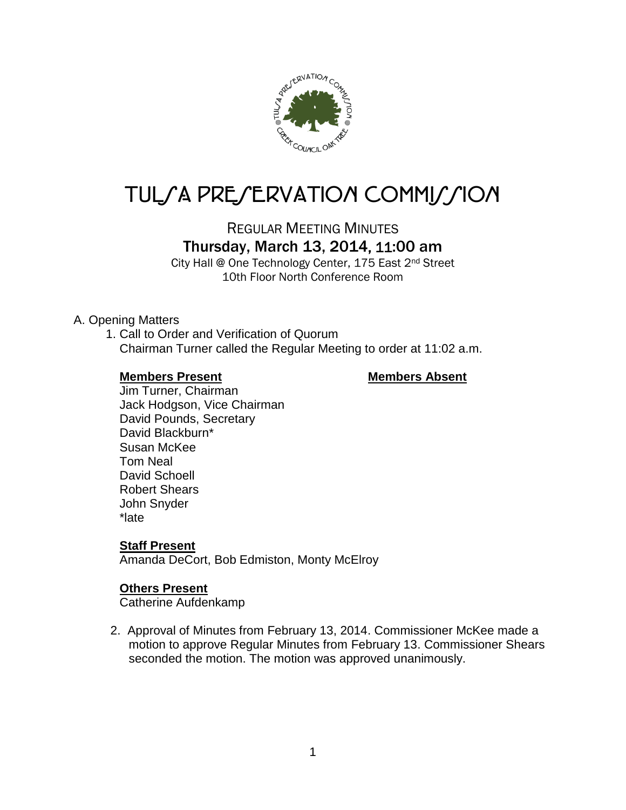

# TUL/A PRE/ERVATION COMMI*J*/ION

REGULAR MEETING MINUTES

# Thursday, March 13, 2014, 11:00 am

City Hall @ One Technology Center, 175 East 2nd Street 10th Floor North Conference Room

#### A. Opening Matters

1. Call to Order and Verification of Quorum Chairman Turner called the Regular Meeting to order at 11:02 a.m.

#### **Members Present Members Absent**

Jim Turner, Chairman Jack Hodgson, Vice Chairman David Pounds, Secretary David Blackburn\* Susan McKee Tom Neal David Schoell Robert Shears John Snyder \*late

#### **Staff Present**

Amanda DeCort, Bob Edmiston, Monty McElroy

#### **Others Present**

Catherine Aufdenkamp

2. Approval of Minutes from February 13, 2014. Commissioner McKee made a motion to approve Regular Minutes from February 13. Commissioner Shears seconded the motion. The motion was approved unanimously.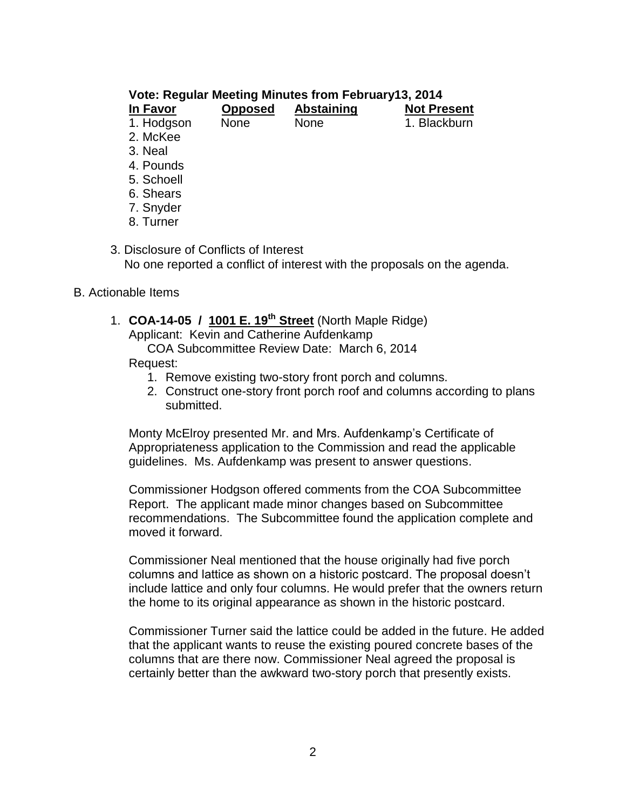#### **Vote: Regular Meeting Minutes from February13, 2014**

| In Favor   | <b>Opposed</b> | <b>Abstaining</b> | <b>Not Present</b> |
|------------|----------------|-------------------|--------------------|
| 1. Hodgson | <b>None</b>    | <b>None</b>       | 1. Blackburn       |
| 2. McKee   |                |                   |                    |
| 3. Neal    |                |                   |                    |
| 4. Pounds  |                |                   |                    |
| $    -$    |                |                   |                    |

- 5. Schoell
- 6. Shears
- 7. Snyder
- 8. Turner
- 3. Disclosure of Conflicts of Interest No one reported a conflict of interest with the proposals on the agenda.
- B. Actionable Items
	- 1. **COA-14-05 / 1001 E. 19th Street** (North Maple Ridge) Applicant: Kevin and Catherine Aufdenkamp COA Subcommittee Review Date: March 6, 2014

Request:

- 1. Remove existing two-story front porch and columns.
- 2. Construct one-story front porch roof and columns according to plans submitted.

Monty McElroy presented Mr. and Mrs. Aufdenkamp's Certificate of Appropriateness application to the Commission and read the applicable guidelines. Ms. Aufdenkamp was present to answer questions.

Commissioner Hodgson offered comments from the COA Subcommittee Report. The applicant made minor changes based on Subcommittee recommendations. The Subcommittee found the application complete and moved it forward.

Commissioner Neal mentioned that the house originally had five porch columns and lattice as shown on a historic postcard. The proposal doesn't include lattice and only four columns. He would prefer that the owners return the home to its original appearance as shown in the historic postcard.

Commissioner Turner said the lattice could be added in the future. He added that the applicant wants to reuse the existing poured concrete bases of the columns that are there now. Commissioner Neal agreed the proposal is certainly better than the awkward two-story porch that presently exists.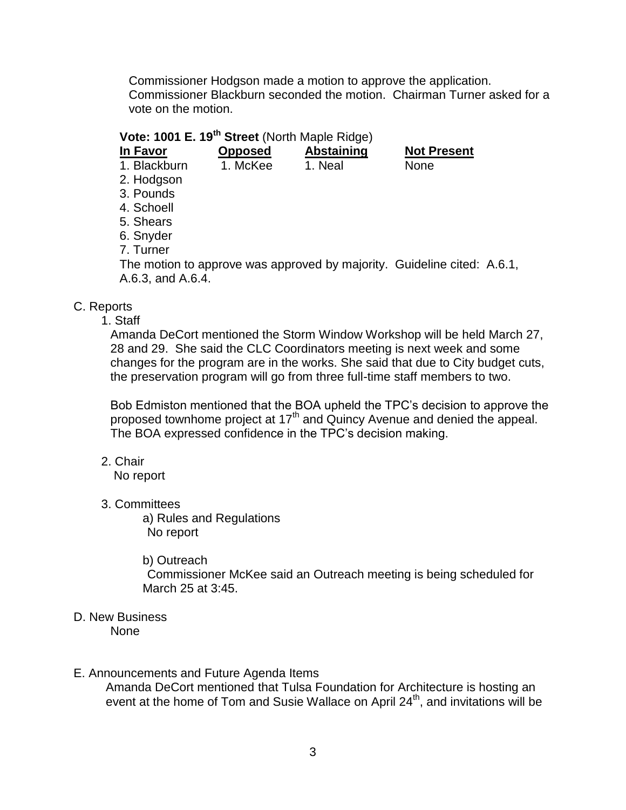Commissioner Hodgson made a motion to approve the application. Commissioner Blackburn seconded the motion. Chairman Turner asked for a vote on the motion.

## **Vote: 1001 E. 19th Street** (North Maple Ridge)

- **In Favor Opposed Abstaining Not Present** 1. Blackburn 1. McKee 1. Neal None
- 2. Hodgson
- 3. Pounds
- 4. Schoell
- 5. Shears
- 
- 6. Snyder 7. Turner
- The motion to approve was approved by majority. Guideline cited: A.6.1, A.6.3, and A.6.4.

### C. Reports

1. Staff

Amanda DeCort mentioned the Storm Window Workshop will be held March 27, 28 and 29. She said the CLC Coordinators meeting is next week and some changes for the program are in the works. She said that due to City budget cuts, the preservation program will go from three full-time staff members to two.

Bob Edmiston mentioned that the BOA upheld the TPC's decision to approve the proposed townhome project at 17<sup>th</sup> and Quincy Avenue and denied the appeal. The BOA expressed confidence in the TPC's decision making.

2. Chair

No report

3. Committees

a) Rules and Regulations No report

#### b) Outreach

Commissioner McKee said an Outreach meeting is being scheduled for March 25 at 3:45.

D. New Business None

#### E. Announcements and Future Agenda Items

Amanda DeCort mentioned that Tulsa Foundation for Architecture is hosting an event at the home of Tom and Susie Wallace on April  $24^{th}$ , and invitations will be